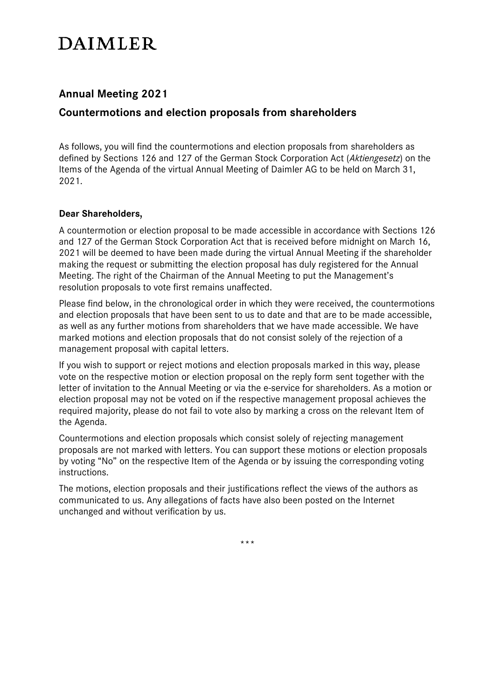# **DAIMLER**

# **Annual Meeting 2021**

# **Countermotions and election proposals from shareholders**

As follows, you will find the countermotions and election proposals from shareholders as defined by Sections 126 and 127 of the German Stock Corporation Act (*Aktiengesetz*) on the Items of the Agenda of the virtual Annual Meeting of Daimler AG to be held on March 31, 2021.

## **Dear Shareholders,**

A countermotion or election proposal to be made accessible in accordance with Sections 126 and 127 of the German Stock Corporation Act that is received before midnight on March 16, 2021 will be deemed to have been made during the virtual Annual Meeting if the shareholder making the request or submitting the election proposal has duly registered for the Annual Meeting. The right of the Chairman of the Annual Meeting to put the Management's resolution proposals to vote first remains unaffected.

Please find below, in the chronological order in which they were received, the countermotions and election proposals that have been sent to us to date and that are to be made accessible, as well as any further motions from shareholders that we have made accessible. We have marked motions and election proposals that do not consist solely of the rejection of a management proposal with capital letters.

If you wish to support or reject motions and election proposals marked in this way, please vote on the respective motion or election proposal on the reply form sent together with the letter of invitation to the Annual Meeting or via the e-service for shareholders. As a motion or election proposal may not be voted on if the respective management proposal achieves the required majority, please do not fail to vote also by marking a cross on the relevant Item of the Agenda.

Countermotions and election proposals which consist solely of rejecting management proposals are not marked with letters. You can support these motions or election proposals by voting "No" on the respective Item of the Agenda or by issuing the corresponding voting instructions.

The motions, election proposals and their justifications reflect the views of the authors as communicated to us. Any allegations of facts have also been posted on the Internet unchanged and without verification by us.

\*\*\*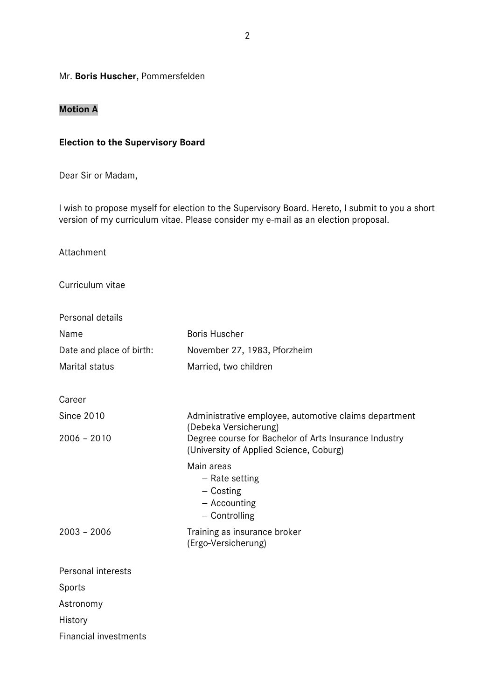#### Mr. **Boris Huscher**, Pommersfelden

## **Motion A**

## **Election to the Supervisory Board**

Dear Sir or Madam,

I wish to propose myself for election to the Supervisory Board. Hereto, I submit to you a short version of my curriculum vitae. Please consider my e-mail as an election proposal.

#### **Attachment**

Curriculum vitae

| <b>Boris Huscher</b>                                                                                                                                                               |  |
|------------------------------------------------------------------------------------------------------------------------------------------------------------------------------------|--|
| November 27, 1983, Pforzheim                                                                                                                                                       |  |
| Married, two children                                                                                                                                                              |  |
|                                                                                                                                                                                    |  |
|                                                                                                                                                                                    |  |
| Administrative employee, automotive claims department<br>(Debeka Versicherung)<br>Degree course for Bachelor of Arts Insurance Industry<br>(University of Applied Science, Coburg) |  |
|                                                                                                                                                                                    |  |
| Training as insurance broker<br>(Ergo-Versicherung)                                                                                                                                |  |
|                                                                                                                                                                                    |  |
|                                                                                                                                                                                    |  |
|                                                                                                                                                                                    |  |
|                                                                                                                                                                                    |  |
|                                                                                                                                                                                    |  |
|                                                                                                                                                                                    |  |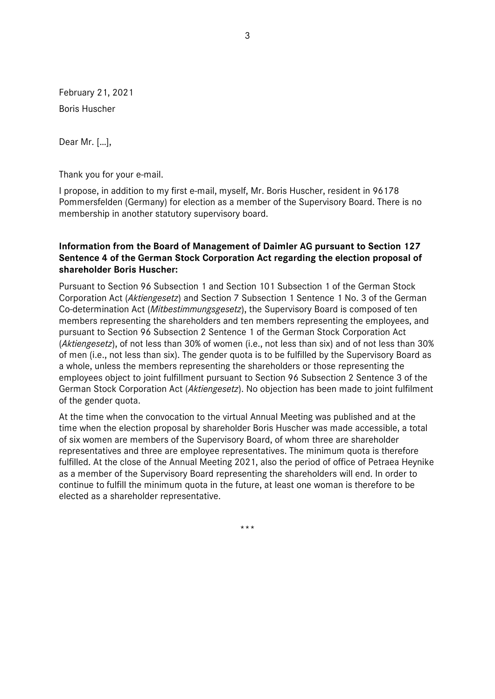February 21, 2021 Boris Huscher

Dear Mr. […],

Thank you for your e-mail.

I propose, in addition to my first e-mail, myself, Mr. Boris Huscher, resident in 96178 Pommersfelden (Germany) for election as a member of the Supervisory Board. There is no membership in another statutory supervisory board.

## **Information from the Board of Management of Daimler AG pursuant to Section 127 Sentence 4 of the German Stock Corporation Act regarding the election proposal of shareholder Boris Huscher:**

Pursuant to Section 96 Subsection 1 and Section 101 Subsection 1 of the German Stock Corporation Act (*Aktiengesetz*) and Section 7 Subsection 1 Sentence 1 No. 3 of the German Co-determination Act (*Mitbestimmungsgesetz*), the Supervisory Board is composed of ten members representing the shareholders and ten members representing the employees, and pursuant to Section 96 Subsection 2 Sentence 1 of the German Stock Corporation Act (*Aktiengesetz*), of not less than 30% of women (i.e., not less than six) and of not less than 30% of men (i.e., not less than six). The gender quota is to be fulfilled by the Supervisory Board as a whole, unless the members representing the shareholders or those representing the employees object to joint fulfillment pursuant to Section 96 Subsection 2 Sentence 3 of the German Stock Corporation Act (*Aktiengesetz*). No objection has been made to joint fulfilment of the gender quota.

At the time when the convocation to the virtual Annual Meeting was published and at the time when the election proposal by shareholder Boris Huscher was made accessible, a total of six women are members of the Supervisory Board, of whom three are shareholder representatives and three are employee representatives. The minimum quota is therefore fulfilled. At the close of the Annual Meeting 2021, also the period of office of Petraea Heynike as a member of the Supervisory Board representing the shareholders will end. In order to continue to fulfill the minimum quota in the future, at least one woman is therefore to be elected as a shareholder representative.

\*\*\*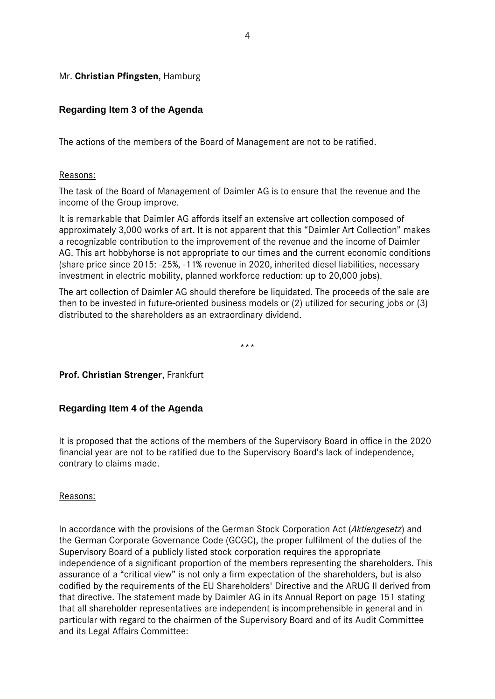## Mr. **Christian Pfingsten**, Hamburg

## **Regarding Item 3 of the Agenda**

The actions of the members of the Board of Management are not to be ratified.

#### Reasons:

The task of the Board of Management of Daimler AG is to ensure that the revenue and the income of the Group improve.

It is remarkable that Daimler AG affords itself an extensive art collection composed of approximately 3,000 works of art. It is not apparent that this "Daimler Art Collection" makes a recognizable contribution to the improvement of the revenue and the income of Daimler AG. This art hobbyhorse is not appropriate to our times and the current economic conditions (share price since 2015: -25%, -11% revenue in 2020, inherited diesel liabilities, necessary investment in electric mobility, planned workforce reduction: up to 20,000 jobs).

The art collection of Daimler AG should therefore be liquidated. The proceeds of the sale are then to be invested in future-oriented business models or (2) utilized for securing jobs or (3) distributed to the shareholders as an extraordinary dividend.

\*\*\*

## **Prof. Christian Strenger**, Frankfurt

## **Regarding Item 4 of the Agenda**

It is proposed that the actions of the members of the Supervisory Board in office in the 2020 financial year are not to be ratified due to the Supervisory Board's lack of independence, contrary to claims made.

#### Reasons:

In accordance with the provisions of the German Stock Corporation Act (*Aktiengesetz*) and the German Corporate Governance Code (GCGC), the proper fulfilment of the duties of the Supervisory Board of a publicly listed stock corporation requires the appropriate independence of a significant proportion of the members representing the shareholders. This assurance of a "critical view" is not only a firm expectation of the shareholders, but is also codified by the requirements of the EU Shareholders' Directive and the ARUG II derived from that directive. The statement made by Daimler AG in its Annual Report on page 151 stating that all shareholder representatives are independent is incomprehensible in general and in particular with regard to the chairmen of the Supervisory Board and of its Audit Committee and its Legal Affairs Committee: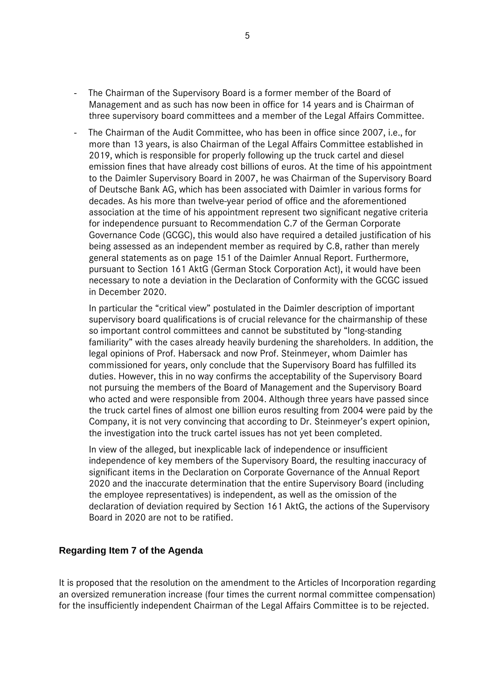- The Chairman of the Supervisory Board is a former member of the Board of Management and as such has now been in office for 14 years and is Chairman of three supervisory board committees and a member of the Legal Affairs Committee.
- The Chairman of the Audit Committee, who has been in office since 2007, i.e., for more than 13 years, is also Chairman of the Legal Affairs Committee established in 2019, which is responsible for properly following up the truck cartel and diesel emission fines that have already cost billions of euros. At the time of his appointment to the Daimler Supervisory Board in 2007, he was Chairman of the Supervisory Board of Deutsche Bank AG, which has been associated with Daimler in various forms for decades. As his more than twelve-year period of office and the aforementioned association at the time of his appointment represent two significant negative criteria for independence pursuant to Recommendation C.7 of the German Corporate Governance Code (GCGC), this would also have required a detailed justification of his being assessed as an independent member as required by C.8, rather than merely general statements as on page 151 of the Daimler Annual Report. Furthermore, pursuant to Section 161 AktG (German Stock Corporation Act), it would have been necessary to note a deviation in the Declaration of Conformity with the GCGC issued in December 2020.

In particular the "critical view" postulated in the Daimler description of important supervisory board qualifications is of crucial relevance for the chairmanship of these so important control committees and cannot be substituted by "long-standing familiarity" with the cases already heavily burdening the shareholders. In addition, the legal opinions of Prof. Habersack and now Prof. Steinmeyer, whom Daimler has commissioned for years, only conclude that the Supervisory Board has fulfilled its duties. However, this in no way confirms the acceptability of the Supervisory Board not pursuing the members of the Board of Management and the Supervisory Board who acted and were responsible from 2004. Although three years have passed since the truck cartel fines of almost one billion euros resulting from 2004 were paid by the Company, it is not very convincing that according to Dr. Steinmeyer's expert opinion, the investigation into the truck cartel issues has not yet been completed.

In view of the alleged, but inexplicable lack of independence or insufficient independence of key members of the Supervisory Board, the resulting inaccuracy of significant items in the Declaration on Corporate Governance of the Annual Report 2020 and the inaccurate determination that the entire Supervisory Board (including the employee representatives) is independent, as well as the omission of the declaration of deviation required by Section 161 AktG, the actions of the Supervisory Board in 2020 are not to be ratified.

## **Regarding Item 7 of the Agenda**

It is proposed that the resolution on the amendment to the Articles of Incorporation regarding an oversized remuneration increase (four times the current normal committee compensation) for the insufficiently independent Chairman of the Legal Affairs Committee is to be rejected.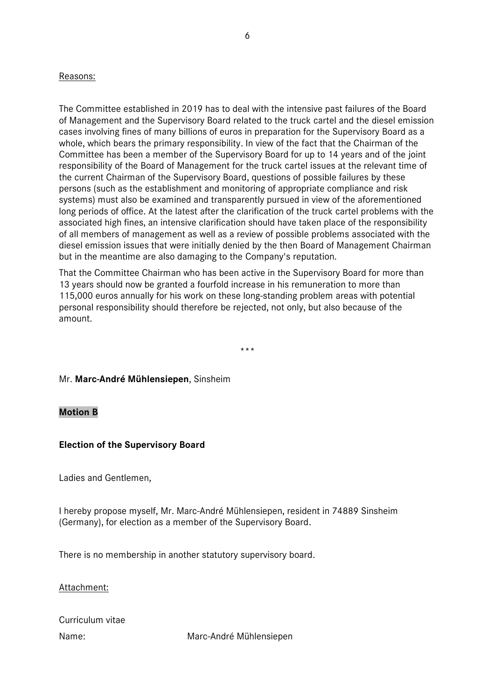#### Reasons:

The Committee established in 2019 has to deal with the intensive past failures of the Board of Management and the Supervisory Board related to the truck cartel and the diesel emission cases involving fines of many billions of euros in preparation for the Supervisory Board as a whole, which bears the primary responsibility. In view of the fact that the Chairman of the Committee has been a member of the Supervisory Board for up to 14 years and of the joint responsibility of the Board of Management for the truck cartel issues at the relevant time of the current Chairman of the Supervisory Board, questions of possible failures by these persons (such as the establishment and monitoring of appropriate compliance and risk systems) must also be examined and transparently pursued in view of the aforementioned long periods of office. At the latest after the clarification of the truck cartel problems with the associated high fines, an intensive clarification should have taken place of the responsibility of all members of management as well as a review of possible problems associated with the diesel emission issues that were initially denied by the then Board of Management Chairman but in the meantime are also damaging to the Company's reputation.

That the Committee Chairman who has been active in the Supervisory Board for more than 13 years should now be granted a fourfold increase in his remuneration to more than 115,000 euros annually for his work on these long-standing problem areas with potential personal responsibility should therefore be rejected, not only, but also because of the amount.

\*\*\*

#### Mr. **Marc-André Mühlensiepen**, Sinsheim

#### **Motion B**

#### **Election of the Supervisory Board**

Ladies and Gentlemen,

I hereby propose myself, Mr. Marc-André Mühlensiepen, resident in 74889 Sinsheim (Germany), for election as a member of the Supervisory Board.

There is no membership in another statutory supervisory board.

#### Attachment:

| Curriculum vitae |  |
|------------------|--|
| Name:            |  |

Name: Marc-André Mühlensiepen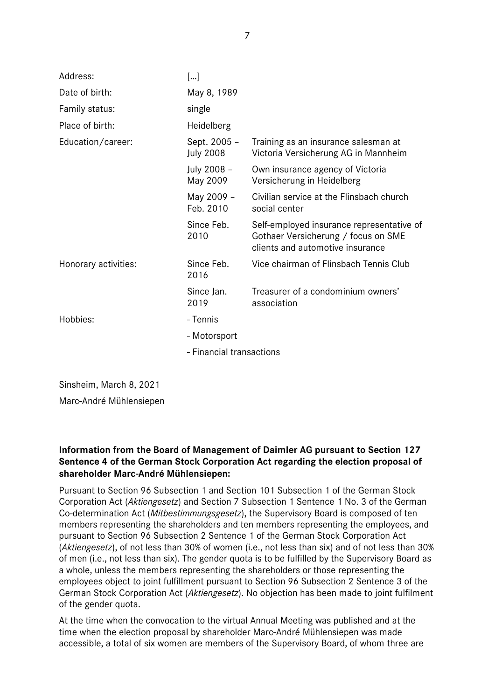| Address:             | []                               |                                                                                                                      |
|----------------------|----------------------------------|----------------------------------------------------------------------------------------------------------------------|
| Date of birth:       | May 8, 1989                      |                                                                                                                      |
| Family status:       | single                           |                                                                                                                      |
| Place of birth:      | Heidelberg                       |                                                                                                                      |
| Education/career:    | Sept. 2005 -<br><b>July 2008</b> | Training as an insurance salesman at<br>Victoria Versicherung AG in Mannheim                                         |
|                      | July 2008 -<br>May 2009          | Own insurance agency of Victoria<br>Versicherung in Heidelberg                                                       |
|                      | May 2009 -<br>Feb. 2010          | Civilian service at the Flinsbach church<br>social center                                                            |
|                      | Since Feb.<br>2010               | Self-employed insurance representative of<br>Gothaer Versicherung / focus on SME<br>clients and automotive insurance |
| Honorary activities: | Since Feb.<br>2016               | Vice chairman of Flinsbach Tennis Club                                                                               |
|                      | Since Jan.<br>2019               | Treasurer of a condominium owners'<br>association                                                                    |
| Hobbies:             | - Tennis                         |                                                                                                                      |
|                      | - Motorsport                     |                                                                                                                      |
|                      | - Financial transactions         |                                                                                                                      |

Sinsheim, March 8, 2021

Marc-André Mühlensiepen

## **Information from the Board of Management of Daimler AG pursuant to Section 127 Sentence 4 of the German Stock Corporation Act regarding the election proposal of shareholder Marc-André Mühlensiepen:**

Pursuant to Section 96 Subsection 1 and Section 101 Subsection 1 of the German Stock Corporation Act (*Aktiengesetz*) and Section 7 Subsection 1 Sentence 1 No. 3 of the German Co-determination Act (*Mitbestimmungsgesetz*), the Supervisory Board is composed of ten members representing the shareholders and ten members representing the employees, and pursuant to Section 96 Subsection 2 Sentence 1 of the German Stock Corporation Act (*Aktiengesetz*), of not less than 30% of women (i.e., not less than six) and of not less than 30% of men (i.e., not less than six). The gender quota is to be fulfilled by the Supervisory Board as a whole, unless the members representing the shareholders or those representing the employees object to joint fulfillment pursuant to Section 96 Subsection 2 Sentence 3 of the German Stock Corporation Act (*Aktiengesetz*). No objection has been made to joint fulfilment of the gender quota.

At the time when the convocation to the virtual Annual Meeting was published and at the time when the election proposal by shareholder Marc-André Mühlensiepen was made accessible, a total of six women are members of the Supervisory Board, of whom three are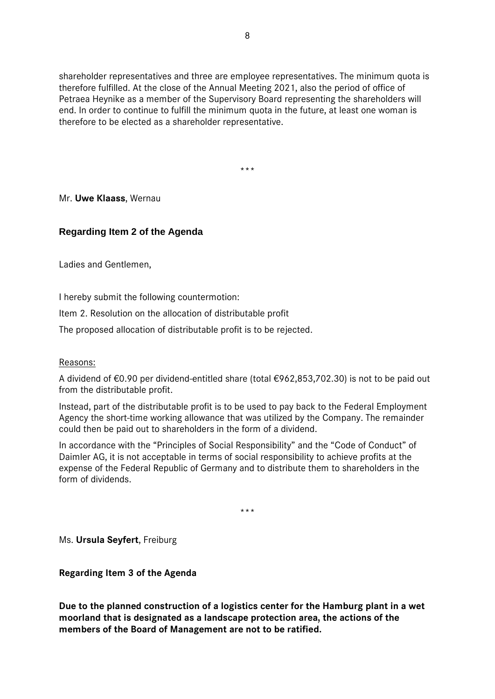shareholder representatives and three are employee representatives. The minimum quota is therefore fulfilled. At the close of the Annual Meeting 2021, also the period of office of Petraea Heynike as a member of the Supervisory Board representing the shareholders will end. In order to continue to fulfill the minimum quota in the future, at least one woman is therefore to be elected as a shareholder representative.

\*\*\*

#### Mr. **Uwe Klaass**, Wernau

## **Regarding Item 2 of the Agenda**

Ladies and Gentlemen,

I hereby submit the following countermotion:

Item 2. Resolution on the allocation of distributable profit

The proposed allocation of distributable profit is to be rejected.

#### Reasons:

A dividend of €0.90 per dividend-entitled share (total €962,853,702.30) is not to be paid out from the distributable profit.

Instead, part of the distributable profit is to be used to pay back to the Federal Employment Agency the short-time working allowance that was utilized by the Company. The remainder could then be paid out to shareholders in the form of a dividend.

In accordance with the "Principles of Social Responsibility" and the "Code of Conduct" of Daimler AG, it is not acceptable in terms of social responsibility to achieve profits at the expense of the Federal Republic of Germany and to distribute them to shareholders in the form of dividends.

\*\*\*

Ms. **Ursula Seyfert**, Freiburg

**Regarding Item 3 of the Agenda** 

**Due to the planned construction of a logistics center for the Hamburg plant in a wet moorland that is designated as a landscape protection area, the actions of the members of the Board of Management are not to be ratified.**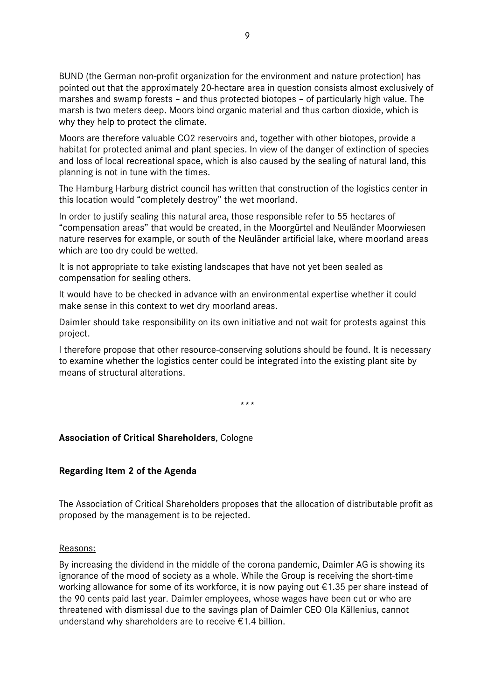BUND (the German non-profit organization for the environment and nature protection) has pointed out that the approximately 20-hectare area in question consists almost exclusively of marshes and swamp forests – and thus protected biotopes – of particularly high value. The marsh is two meters deep. Moors bind organic material and thus carbon dioxide, which is why they help to protect the climate.

Moors are therefore valuable CO2 reservoirs and, together with other biotopes, provide a habitat for protected animal and plant species. In view of the danger of extinction of species and loss of local recreational space, which is also caused by the sealing of natural land, this planning is not in tune with the times.

The Hamburg Harburg district council has written that construction of the logistics center in this location would "completely destroy" the wet moorland.

In order to justify sealing this natural area, those responsible refer to 55 hectares of "compensation areas" that would be created, in the Moorgürtel and Neuländer Moorwiesen nature reserves for example, or south of the Neuländer artificial lake, where moorland areas which are too dry could be wetted.

It is not appropriate to take existing landscapes that have not yet been sealed as compensation for sealing others.

It would have to be checked in advance with an environmental expertise whether it could make sense in this context to wet dry moorland areas.

Daimler should take responsibility on its own initiative and not wait for protests against this project.

I therefore propose that other resource-conserving solutions should be found. It is necessary to examine whether the logistics center could be integrated into the existing plant site by means of structural alterations.

\*\*\*

#### **Association of Critical Shareholders**, Cologne

#### **Regarding Item 2 of the Agenda**

The Association of Critical Shareholders proposes that the allocation of distributable profit as proposed by the management is to be rejected.

Reasons:

By increasing the dividend in the middle of the corona pandemic, Daimler AG is showing its ignorance of the mood of society as a whole. While the Group is receiving the short-time working allowance for some of its workforce, it is now paying out  $\epsilon$ 1.35 per share instead of the 90 cents paid last year. Daimler employees, whose wages have been cut or who are threatened with dismissal due to the savings plan of Daimler CEO Ola Källenius, cannot understand why shareholders are to receive €1.4 billion.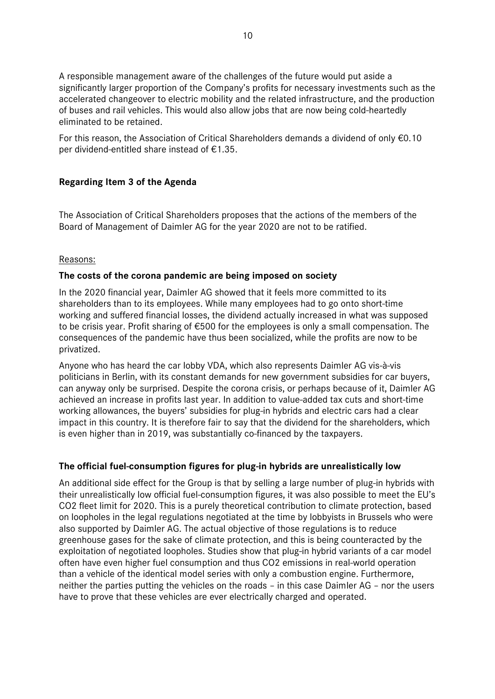A responsible management aware of the challenges of the future would put aside a significantly larger proportion of the Company's profits for necessary investments such as the accelerated changeover to electric mobility and the related infrastructure, and the production of buses and rail vehicles. This would also allow jobs that are now being cold-heartedly eliminated to be retained.

For this reason, the Association of Critical Shareholders demands a dividend of only €0.10 per dividend-entitled share instead of €1.35.

## **Regarding Item 3 of the Agenda**

The Association of Critical Shareholders proposes that the actions of the members of the Board of Management of Daimler AG for the year 2020 are not to be ratified.

## Reasons:

#### **The costs of the corona pandemic are being imposed on society**

In the 2020 financial year, Daimler AG showed that it feels more committed to its shareholders than to its employees. While many employees had to go onto short-time working and suffered financial losses, the dividend actually increased in what was supposed to be crisis year. Profit sharing of €500 for the employees is only a small compensation. The consequences of the pandemic have thus been socialized, while the profits are now to be privatized.

Anyone who has heard the car lobby VDA, which also represents Daimler AG vis-à-vis politicians in Berlin, with its constant demands for new government subsidies for car buyers, can anyway only be surprised. Despite the corona crisis, or perhaps because of it, Daimler AG achieved an increase in profits last year. In addition to value-added tax cuts and short-time working allowances, the buyers' subsidies for plug-in hybrids and electric cars had a clear impact in this country. It is therefore fair to say that the dividend for the shareholders, which is even higher than in 2019, was substantially co-financed by the taxpayers.

## **The official fuel-consumption figures for plug-in hybrids are unrealistically low**

An additional side effect for the Group is that by selling a large number of plug-in hybrids with their unrealistically low official fuel-consumption figures, it was also possible to meet the EU's CO2 fleet limit for 2020. This is a purely theoretical contribution to climate protection, based on loopholes in the legal regulations negotiated at the time by lobbyists in Brussels who were also supported by Daimler AG. The actual objective of those regulations is to reduce greenhouse gases for the sake of climate protection, and this is being counteracted by the exploitation of negotiated loopholes. Studies show that plug-in hybrid variants of a car model often have even higher fuel consumption and thus CO2 emissions in real-world operation than a vehicle of the identical model series with only a combustion engine. Furthermore, neither the parties putting the vehicles on the roads – in this case Daimler AG – nor the users have to prove that these vehicles are ever electrically charged and operated.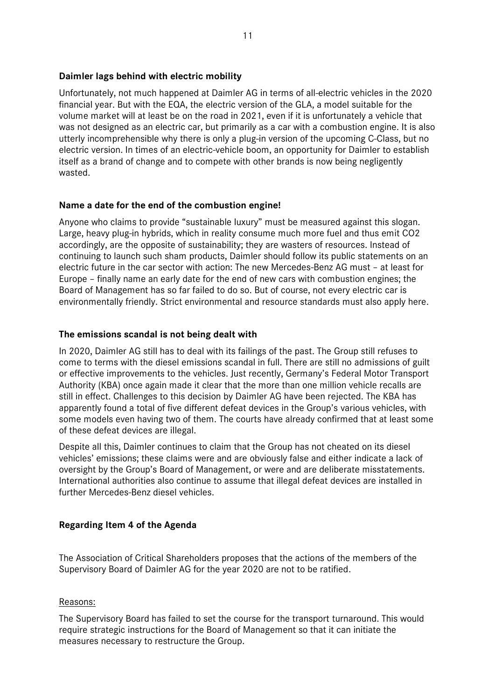#### **Daimler lags behind with electric mobility**

Unfortunately, not much happened at Daimler AG in terms of all-electric vehicles in the 2020 financial year. But with the EQA, the electric version of the GLA, a model suitable for the volume market will at least be on the road in 2021, even if it is unfortunately a vehicle that was not designed as an electric car, but primarily as a car with a combustion engine. It is also utterly incomprehensible why there is only a plug-in version of the upcoming C-Class, but no electric version. In times of an electric-vehicle boom, an opportunity for Daimler to establish itself as a brand of change and to compete with other brands is now being negligently wasted.

## **Name a date for the end of the combustion engine!**

Anyone who claims to provide "sustainable luxury" must be measured against this slogan. Large, heavy plug-in hybrids, which in reality consume much more fuel and thus emit CO2 accordingly, are the opposite of sustainability; they are wasters of resources. Instead of continuing to launch such sham products, Daimler should follow its public statements on an electric future in the car sector with action: The new Mercedes-Benz AG must – at least for Europe – finally name an early date for the end of new cars with combustion engines; the Board of Management has so far failed to do so. But of course, not every electric car is environmentally friendly. Strict environmental and resource standards must also apply here.

## **The emissions scandal is not being dealt with**

In 2020, Daimler AG still has to deal with its failings of the past. The Group still refuses to come to terms with the diesel emissions scandal in full. There are still no admissions of guilt or effective improvements to the vehicles. Just recently, Germany's Federal Motor Transport Authority (KBA) once again made it clear that the more than one million vehicle recalls are still in effect. Challenges to this decision by Daimler AG have been rejected. The KBA has apparently found a total of five different defeat devices in the Group's various vehicles, with some models even having two of them. The courts have already confirmed that at least some of these defeat devices are illegal.

Despite all this, Daimler continues to claim that the Group has not cheated on its diesel vehicles' emissions; these claims were and are obviously false and either indicate a lack of oversight by the Group's Board of Management, or were and are deliberate misstatements. International authorities also continue to assume that illegal defeat devices are installed in further Mercedes-Benz diesel vehicles.

#### **Regarding Item 4 of the Agenda**

The Association of Critical Shareholders proposes that the actions of the members of the Supervisory Board of Daimler AG for the year 2020 are not to be ratified.

#### Reasons:

The Supervisory Board has failed to set the course for the transport turnaround. This would require strategic instructions for the Board of Management so that it can initiate the measures necessary to restructure the Group.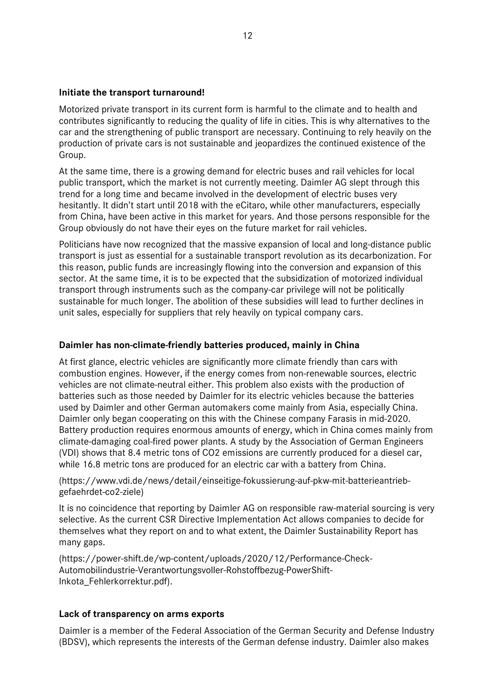#### **Initiate the transport turnaround!**

Motorized private transport in its current form is harmful to the climate and to health and contributes significantly to reducing the quality of life in cities. This is why alternatives to the car and the strengthening of public transport are necessary. Continuing to rely heavily on the production of private cars is not sustainable and jeopardizes the continued existence of the Group.

At the same time, there is a growing demand for electric buses and rail vehicles for local public transport, which the market is not currently meeting. Daimler AG slept through this trend for a long time and became involved in the development of electric buses very hesitantly. It didn't start until 2018 with the eCitaro, while other manufacturers, especially from China, have been active in this market for years. And those persons responsible for the Group obviously do not have their eyes on the future market for rail vehicles.

Politicians have now recognized that the massive expansion of local and long-distance public transport is just as essential for a sustainable transport revolution as its decarbonization. For this reason, public funds are increasingly flowing into the conversion and expansion of this sector. At the same time, it is to be expected that the subsidization of motorized individual transport through instruments such as the company-car privilege will not be politically sustainable for much longer. The abolition of these subsidies will lead to further declines in unit sales, especially for suppliers that rely heavily on typical company cars.

#### **Daimler has non-climate-friendly batteries produced, mainly in China**

At first glance, electric vehicles are significantly more climate friendly than cars with combustion engines. However, if the energy comes from non-renewable sources, electric vehicles are not climate-neutral either. This problem also exists with the production of batteries such as those needed by Daimler for its electric vehicles because the batteries used by Daimler and other German automakers come mainly from Asia, especially China. Daimler only began cooperating on this with the Chinese company Farasis in mid-2020. Battery production requires enormous amounts of energy, which in China comes mainly from climate-damaging coal-fired power plants. A study by the Association of German Engineers (VDI) shows that 8.4 metric tons of CO2 emissions are currently produced for a diesel car, while 16.8 metric tons are produced for an electric car with a battery from China.

(https://www.vdi.de/news/detail/einseitige-fokussierung-auf-pkw-mit-batterieantriebgefaehrdet-co2-ziele)

It is no coincidence that reporting by Daimler AG on responsible raw-material sourcing is very selective. As the current CSR Directive Implementation Act allows companies to decide for themselves what they report on and to what extent, the Daimler Sustainability Report has many gaps.

(https://power-shift.de/wp-content/uploads/2020/12/Performance-Check-Automobilindustrie-Verantwortungsvoller-Rohstoffbezug-PowerShift-Inkota\_Fehlerkorrektur.pdf).

#### **Lack of transparency on arms exports**

Daimler is a member of the Federal Association of the German Security and Defense Industry (BDSV), which represents the interests of the German defense industry. Daimler also makes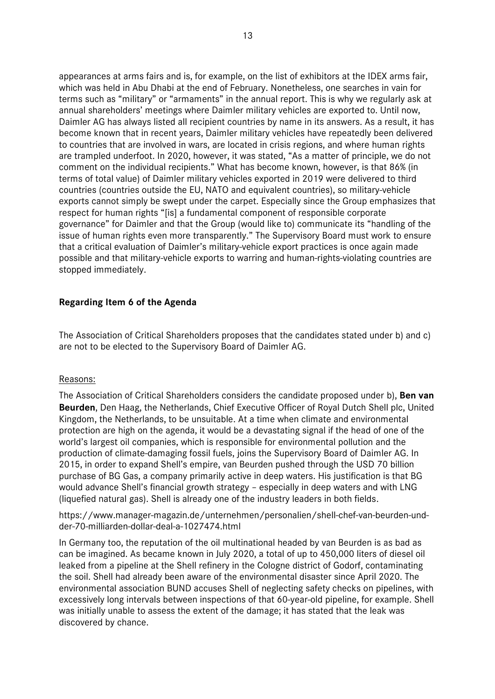appearances at arms fairs and is, for example, on the list of exhibitors at the IDEX arms fair, which was held in Abu Dhabi at the end of February. Nonetheless, one searches in vain for terms such as "military" or "armaments" in the annual report. This is why we regularly ask at annual shareholders' meetings where Daimler military vehicles are exported to. Until now, Daimler AG has always listed all recipient countries by name in its answers. As a result, it has become known that in recent years, Daimler military vehicles have repeatedly been delivered to countries that are involved in wars, are located in crisis regions, and where human rights are trampled underfoot. In 2020, however, it was stated, "As a matter of principle, we do not comment on the individual recipients." What has become known, however, is that 86% (in terms of total value) of Daimler military vehicles exported in 2019 were delivered to third countries (countries outside the EU, NATO and equivalent countries), so military-vehicle exports cannot simply be swept under the carpet. Especially since the Group emphasizes that respect for human rights "[is] a fundamental component of responsible corporate governance" for Daimler and that the Group (would like to) communicate its "handling of the issue of human rights even more transparently." The Supervisory Board must work to ensure that a critical evaluation of Daimler's military-vehicle export practices is once again made possible and that military-vehicle exports to warring and human-rights-violating countries are stopped immediately.

## **Regarding Item 6 of the Agenda**

The Association of Critical Shareholders proposes that the candidates stated under b) and c) are not to be elected to the Supervisory Board of Daimler AG.

#### Reasons:

The Association of Critical Shareholders considers the candidate proposed under b), **Ben van Beurden**, Den Haag, the Netherlands, Chief Executive Officer of Royal Dutch Shell plc, United Kingdom, the Netherlands, to be unsuitable. At a time when climate and environmental protection are high on the agenda, it would be a devastating signal if the head of one of the world's largest oil companies, which is responsible for environmental pollution and the production of climate-damaging fossil fuels, joins the Supervisory Board of Daimler AG. In 2015, in order to expand Shell's empire, van Beurden pushed through the USD 70 billion purchase of BG Gas, a company primarily active in deep waters. His justification is that BG would advance Shell's financial growth strategy – especially in deep waters and with LNG (liquefied natural gas). Shell is already one of the industry leaders in both fields.

https://www.manager-magazin.de/unternehmen/personalien/shell-chef-van-beurden-undder-70-milliarden-dollar-deal-a-1027474.html

In Germany too, the reputation of the oil multinational headed by van Beurden is as bad as can be imagined. As became known in July 2020, a total of up to 450,000 liters of diesel oil leaked from a pipeline at the Shell refinery in the Cologne district of Godorf, contaminating the soil. Shell had already been aware of the environmental disaster since April 2020. The environmental association BUND accuses Shell of neglecting safety checks on pipelines, with excessively long intervals between inspections of that 60-year-old pipeline, for example. Shell was initially unable to assess the extent of the damage; it has stated that the leak was discovered by chance.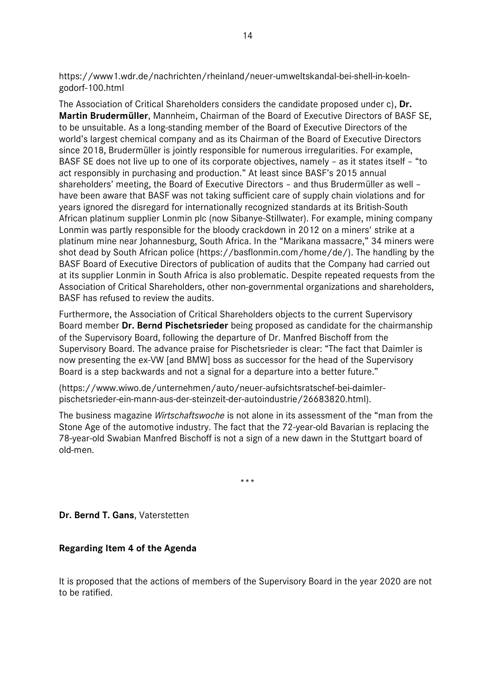https://www1.wdr.de/nachrichten/rheinland/neuer-umweltskandal-bei-shell-in-koelngodorf-100.html

The Association of Critical Shareholders considers the candidate proposed under c), **Dr. Martin Brudermüller**, Mannheim, Chairman of the Board of Executive Directors of BASF SE, to be unsuitable. As a long-standing member of the Board of Executive Directors of the world's largest chemical company and as its Chairman of the Board of Executive Directors since 2018, Brudermüller is jointly responsible for numerous irregularities. For example, BASF SE does not live up to one of its corporate objectives, namely – as it states itself – "to act responsibly in purchasing and production." At least since BASF's 2015 annual shareholders' meeting, the Board of Executive Directors – and thus Brudermüller as well – have been aware that BASF was not taking sufficient care of supply chain violations and for years ignored the disregard for internationally recognized standards at its British-South African platinum supplier Lonmin plc (now Sibanye-Stillwater). For example, mining company Lonmin was partly responsible for the bloody crackdown in 2012 on a miners' strike at a platinum mine near Johannesburg, South Africa. In the "Marikana massacre," 34 miners were shot dead by South African police (https://basflonmin.com/home/de/). The handling by the BASF Board of Executive Directors of publication of audits that the Company had carried out at its supplier Lonmin in South Africa is also problematic. Despite repeated requests from the Association of Critical Shareholders, other non-governmental organizations and shareholders, BASF has refused to review the audits.

Furthermore, the Association of Critical Shareholders objects to the current Supervisory Board member **Dr. Bernd Pischetsrieder** being proposed as candidate for the chairmanship of the Supervisory Board, following the departure of Dr. Manfred Bischoff from the Supervisory Board. The advance praise for Pischetsrieder is clear: "The fact that Daimler is now presenting the ex-VW [and BMW] boss as successor for the head of the Supervisory Board is a step backwards and not a signal for a departure into a better future."

(https://www.wiwo.de/unternehmen/auto/neuer-aufsichtsratschef-bei-daimlerpischetsrieder-ein-mann-aus-der-steinzeit-der-autoindustrie/26683820.html).

The business magazine *Wirtschaftswoche* is not alone in its assessment of the "man from the Stone Age of the automotive industry. The fact that the 72-year-old Bavarian is replacing the 78-year-old Swabian Manfred Bischoff is not a sign of a new dawn in the Stuttgart board of old-men.

\*\*\*

**Dr. Bernd T. Gans**, Vaterstetten

#### **Regarding Item 4 of the Agenda**

It is proposed that the actions of members of the Supervisory Board in the year 2020 are not to be ratified.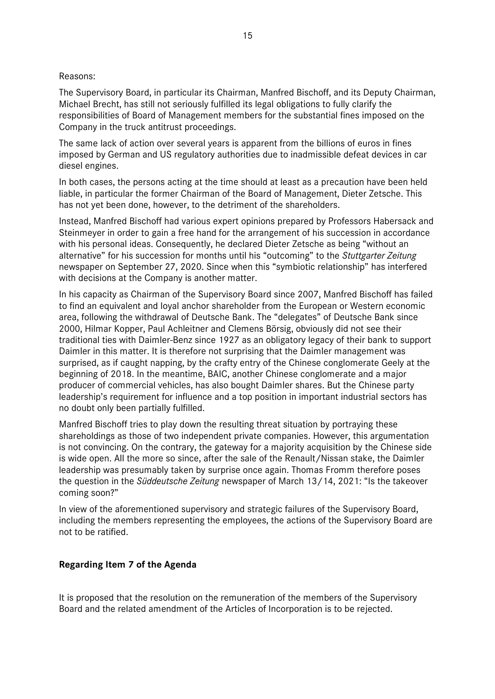#### Reasons:

The Supervisory Board, in particular its Chairman, Manfred Bischoff, and its Deputy Chairman, Michael Brecht, has still not seriously fulfilled its legal obligations to fully clarify the responsibilities of Board of Management members for the substantial fines imposed on the Company in the truck antitrust proceedings.

The same lack of action over several years is apparent from the billions of euros in fines imposed by German and US regulatory authorities due to inadmissible defeat devices in car diesel engines.

In both cases, the persons acting at the time should at least as a precaution have been held liable, in particular the former Chairman of the Board of Management, Dieter Zetsche. This has not yet been done, however, to the detriment of the shareholders.

Instead, Manfred Bischoff had various expert opinions prepared by Professors Habersack and Steinmeyer in order to gain a free hand for the arrangement of his succession in accordance with his personal ideas. Consequently, he declared Dieter Zetsche as being "without an alternative" for his succession for months until his "outcoming" to the *Stuttgarter Zeitung* newspaper on September 27, 2020. Since when this "symbiotic relationship" has interfered with decisions at the Company is another matter.

In his capacity as Chairman of the Supervisory Board since 2007, Manfred Bischoff has failed to find an equivalent and loyal anchor shareholder from the European or Western economic area, following the withdrawal of Deutsche Bank. The "delegates" of Deutsche Bank since 2000, Hilmar Kopper, Paul Achleitner and Clemens Börsig, obviously did not see their traditional ties with Daimler-Benz since 1927 as an obligatory legacy of their bank to support Daimler in this matter. It is therefore not surprising that the Daimler management was surprised, as if caught napping, by the crafty entry of the Chinese conglomerate Geely at the beginning of 2018. In the meantime, BAIC, another Chinese conglomerate and a major producer of commercial vehicles, has also bought Daimler shares. But the Chinese party leadership's requirement for influence and a top position in important industrial sectors has no doubt only been partially fulfilled.

Manfred Bischoff tries to play down the resulting threat situation by portraying these shareholdings as those of two independent private companies. However, this argumentation is not convincing. On the contrary, the gateway for a majority acquisition by the Chinese side is wide open. All the more so since, after the sale of the Renault/Nissan stake, the Daimler leadership was presumably taken by surprise once again. Thomas Fromm therefore poses the question in the *Süddeutsche Zeitung* newspaper of March 13/14, 2021: "Is the takeover coming soon?"

In view of the aforementioned supervisory and strategic failures of the Supervisory Board, including the members representing the employees, the actions of the Supervisory Board are not to be ratified.

#### **Regarding Item 7 of the Agenda**

It is proposed that the resolution on the remuneration of the members of the Supervisory Board and the related amendment of the Articles of Incorporation is to be rejected.